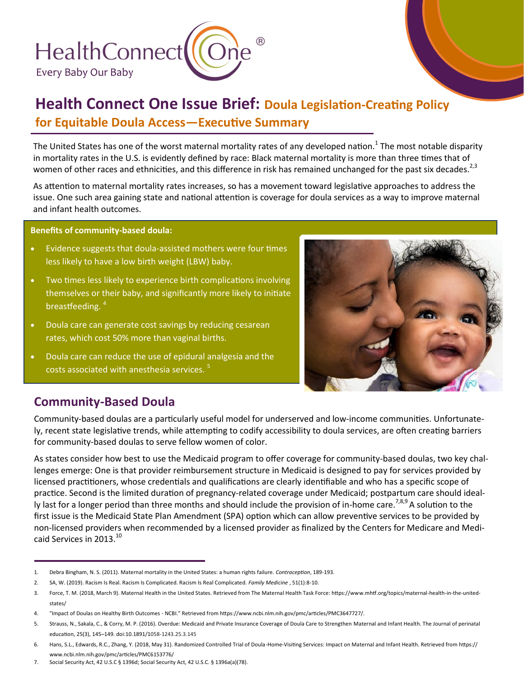

## **Health Connect One Issue Brief: Doula Legislation-Creating Policy for Equitable Doula Access—Executive Summary**

The United States has one of the worst maternal mortality rates of any developed nation.<sup>1</sup> The most notable disparity in mortality rates in the U.S. is evidently defined by race: Black maternal mortality is more than three times that of women of other races and ethnicities, and this difference in risk has remained unchanged for the past six decades.<sup>2,3</sup>

As attention to maternal mortality rates increases, so has a movement toward legislative approaches to address the issue. One such area gaining state and national attention is coverage for doula services as a way to improve maternal and infant health outcomes.

**Benefits of community-based doula:**

- Evidence suggests that doula-assisted mothers were four times less likely to have a low birth weight (LBW) baby.
- Two times less likely to experience birth complications involving themselves or their baby, and significantly more likely to initiate breastfeeding. <sup>4</sup>
- Doula care can generate cost savings by reducing cesarean rates, which cost 50% more than vaginal births.
- Doula care can reduce the use of epidural analgesia and the costs associated with anesthesia services.<sup>5</sup>



## **Community-Based Doula**

Community-based doulas are a particularly useful model for underserved and low-income communities. Unfortunately, recent state legislative trends, while attempting to codify accessibility to doula services, are often creating barriers for community-based doulas to serve fellow women of color.

As states consider how best to use the Medicaid program to offer coverage for community-based doulas, two key challenges emerge: One is that provider reimbursement structure in Medicaid is designed to pay for services provided by licensed practitioners, whose credentials and qualifications are clearly identifiable and who has a specific scope of practice. Second is the limited duration of pregnancy-related coverage under Medicaid; postpartum care should ideally last for a longer period than three months and should include the provision of in-home care.<sup>7,8,9</sup> A solution to the first issue is the Medicaid State Plan Amendment (SPA) option which can allow preventive services to be provided by non-licensed providers when recommended by a licensed provider as finalized by the Centers for Medicare and Medicaid Services in 2013.<sup>10</sup>

<sup>1.</sup> Debra Bingham, N. S. (2011). Maternal mortality in the United States: a human rights failure. *Contraception*, 189-193.

<sup>2.</sup> SA, W. (2019). Racism Is Real. Racism Is Complicated. Racism Is Real Complicated. *Family Medicine* , 51(1):8-10.

<sup>3.</sup> Force, T. M. (2018, March 9). Maternal Health in the United States. Retrieved from The Maternal Health Task Force: https://www.mhtf.org/topics/maternal-health-in-the-unitedstates/

<sup>4.</sup> "Impact of Doulas on Healthy Birth Outcomes - NCBI." Retrieved from [https://www.ncbi.nlm.nih.gov/pmc/articles/PMC3647727/.](https://www.ncbi.nlm.nih.gov/pmc/articles/PMC3647727/)

<sup>5.</sup> Strauss, N., Sakala, C., & Corry, M. P. (2016). Overdue: Medicaid and Private Insurance Coverage of Doula Care to Strengthen Maternal and Infant Health. The Journal of perinatal education, 25(3), 145–149. doi:10.1891/1058-1243.25.3.145

<sup>6.</sup> Hans, S.L., Edwards, R.C., Zhang, Y. (2018, May 31). Randomized Controlled Trial of Doula-Home-Visiting Services: Impact on Maternal and Infant Health. Retrieved from [https://](https://www.ncbi.nlm.nih.gov/pmc/articles/PMC6153776/) [www.ncbi.nlm.nih.gov/pmc/articles/PMC6153776/](https://www.ncbi.nlm.nih.gov/pmc/articles/PMC6153776/)

<sup>7.</sup> Social Security Act, 42 U.S.C § 1396d; Social Security Act, 42 U.S.C. § 1396a(a)(78).